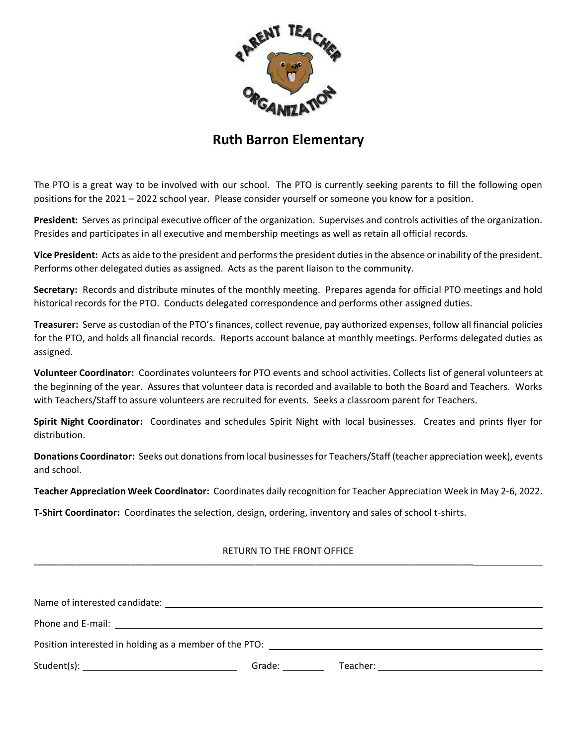

## **Ruth Barron Elementary**

The PTO is a great way to be involved with our school. The PTO is currently seeking parents to fill the following open positions for the 2021 – 2022 school year. Please consider yourself or someone you know for a position.

**President:** Serves as principal executive officer of the organization. Supervises and controls activities of the organization. Presides and participates in all executive and membership meetings as well as retain all official records.

**Vice President:** Acts as aide to the president and performs the president duties in the absence or inability of the president. Performs other delegated duties as assigned. Acts as the parent liaison to the community.

**Secretary:** Records and distribute minutes of the monthly meeting. Prepares agenda for official PTO meetings and hold historical records for the PTO. Conducts delegated correspondence and performs other assigned duties.

**Treasurer:** Serve as custodian of the PTO's finances, collect revenue, pay authorized expenses, follow all financial policies for the PTO, and holds all financial records. Reports account balance at monthly meetings. Performs delegated duties as assigned.

**Volunteer Coordinator:** Coordinates volunteers for PTO events and school activities. Collects list of general volunteers at the beginning of the year. Assures that volunteer data is recorded and available to both the Board and Teachers. Works with Teachers/Staff to assure volunteers are recruited for events. Seeks a classroom parent for Teachers.

**Spirit Night Coordinator:** Coordinates and schedules Spirit Night with local businesses. Creates and prints flyer for distribution.

**Donations Coordinator:** Seeks out donations from local businesses for Teachers/Staff (teacher appreciation week), events and school.

**Teacher Appreciation Week Coordinator:** Coordinates daily recognition for Teacher Appreciation Week in May 2-6, 2022.

**T-Shirt Coordinator:** Coordinates the selection, design, ordering, inventory and sales of school t-shirts.

**\_\_\_\_\_\_\_\_\_\_\_\_\_\_\_\_\_\_\_\_\_\_\_\_\_\_\_\_\_\_\_\_\_\_\_\_\_\_\_\_\_\_\_\_\_\_\_\_\_\_\_\_\_\_\_\_\_\_\_\_\_\_\_\_\_\_\_\_\_\_\_\_\_\_\_\_\_\_\_\_\_\_\_\_\_\_\_\_\_\_\_\_\_\_\_\_\_\_\_\_\_\_\_\_\_\_\_\_\_\_\_\_\_\_\_\_\_**

## RETURN TO THE FRONT OFFICE

| Name of interested candidate:                                                                                                                                                                                                  |        |          |  |
|--------------------------------------------------------------------------------------------------------------------------------------------------------------------------------------------------------------------------------|--------|----------|--|
| Phone and E-mail: The contract of the contract of the contract of the contract of the contract of the contract of the contract of the contract of the contract of the contract of the contract of the contract of the contract |        |          |  |
| Position interested in holding as a member of the PTO:                                                                                                                                                                         |        |          |  |
|                                                                                                                                                                                                                                | Grade: | Teacher: |  |